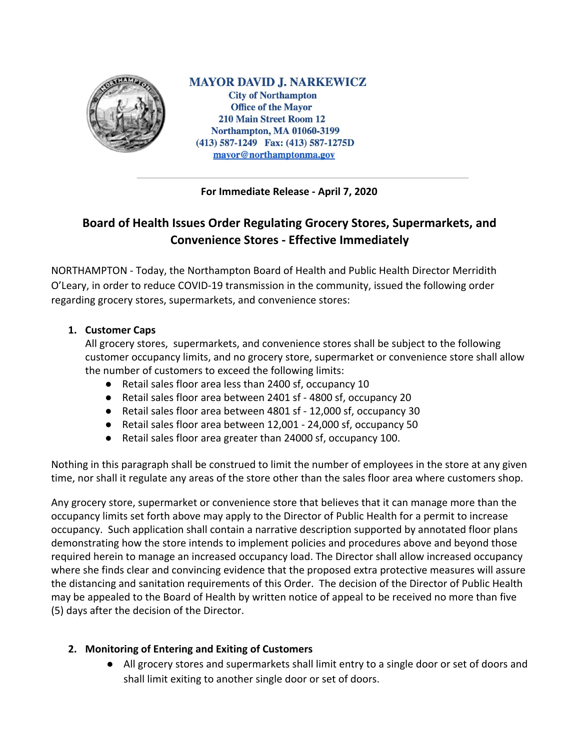

**MAYOR DAVID J. NARKEWICZ City of Northampton Office of the Mayor 210 Main Street Room 12 Northampton, MA 01060-3199** (413) 587-1249 Fax: (413) 587-1275D mayor@northamptonma.gov

**For Immediate Release - April 7, 2020**

# **Board of Health Issues Order Regulating Grocery Stores, Supermarkets, and Convenience Stores - Effective Immediately**

NORTHAMPTON - Today, the Northampton Board of Health and Public Health Director Merridith O'Leary, in order to reduce COVID-19 transmission in the community, issued the following order regarding grocery stores, supermarkets, and convenience stores:

### **1. Customer Caps**

All grocery stores, supermarkets, and convenience stores shall be subject to the following customer occupancy limits, and no grocery store, supermarket or convenience store shall allow the number of customers to exceed the following limits:

- Retail sales floor area less than 2400 sf, occupancy 10
- Retail sales floor area between 2401 sf 4800 sf, occupancy 20
- Retail sales floor area between 4801 sf 12,000 sf, occupancy 30
- Retail sales floor area between 12,001 24,000 sf, occupancy 50
- Retail sales floor area greater than 24000 sf, occupancy 100.

Nothing in this paragraph shall be construed to limit the number of employees in the store at any given time, nor shall it regulate any areas of the store other than the sales floor area where customers shop.

Any grocery store, supermarket or convenience store that believes that it can manage more than the occupancy limits set forth above may apply to the Director of Public Health for a permit to increase occupancy. Such application shall contain a narrative description supported by annotated floor plans demonstrating how the store intends to implement policies and procedures above and beyond those required herein to manage an increased occupancy load. The Director shall allow increased occupancy where she finds clear and convincing evidence that the proposed extra protective measures will assure the distancing and sanitation requirements of this Order. The decision of the Director of Public Health may be appealed to the Board of Health by written notice of appeal to be received no more than five (5) days after the decision of the Director.

## **2. Monitoring of Entering and Exiting of Customers**

● All grocery stores and supermarkets shall limit entry to a single door or set of doors and shall limit exiting to another single door or set of doors.